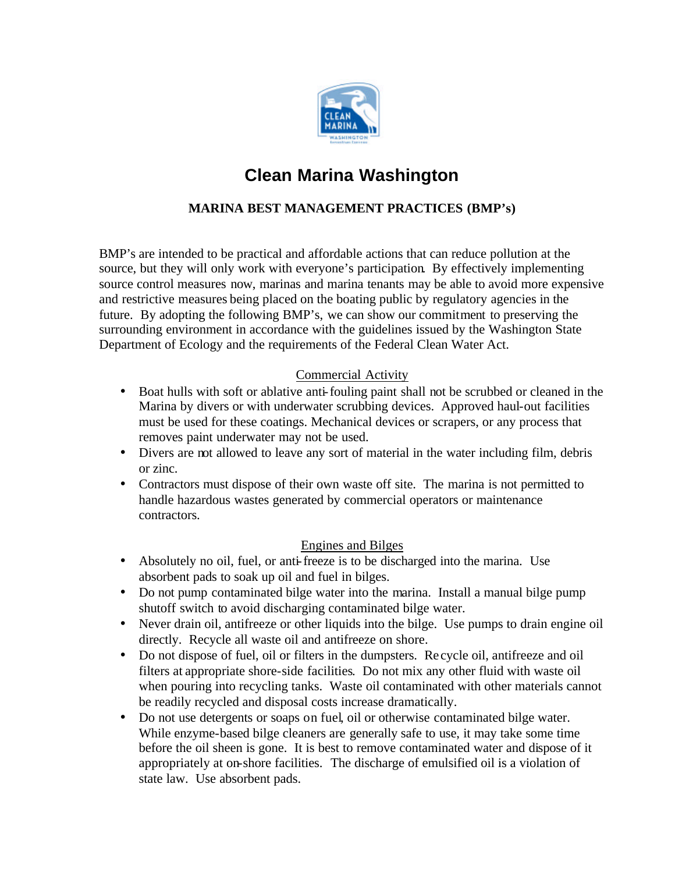

# **Clean Marina Washington**

# **MARINA BEST MANAGEMENT PRACTICES (BMP's)**

BMP's are intended to be practical and affordable actions that can reduce pollution at the source, but they will only work with everyone's participation. By effectively implementing source control measures now, marinas and marina tenants may be able to avoid more expensive and restrictive measures being placed on the boating public by regulatory agencies in the future. By adopting the following BMP's, we can show our commitment to preserving the surrounding environment in accordance with the guidelines issued by the Washington State Department of Ecology and the requirements of the Federal Clean Water Act.

## Commercial Activity

- Boat hulls with soft or ablative anti-fouling paint shall not be scrubbed or cleaned in the Marina by divers or with underwater scrubbing devices. Approved haul-out facilities must be used for these coatings. Mechanical devices or scrapers, or any process that removes paint underwater may not be used.
- Divers are not allowed to leave any sort of material in the water including film, debris or zinc.
- Contractors must dispose of their own waste off site. The marina is not permitted to handle hazardous wastes generated by commercial operators or maintenance contractors.

#### Engines and Bilges

- Absolutely no oil, fuel, or anti-freeze is to be discharged into the marina. Use absorbent pads to soak up oil and fuel in bilges.
- Do not pump contaminated bilge water into the marina. Install a manual bilge pump shutoff switch to avoid discharging contaminated bilge water.
- Never drain oil, antifreeze or other liquids into the bilge. Use pumps to drain engine oil directly. Recycle all waste oil and antifreeze on shore.
- Do not dispose of fuel, oil or filters in the dumpsters. Re cycle oil, antifreeze and oil filters at appropriate shore-side facilities. Do not mix any other fluid with waste oil when pouring into recycling tanks. Waste oil contaminated with other materials cannot be readily recycled and disposal costs increase dramatically.
- Do not use detergents or soaps on fuel, oil or otherwise contaminated bilge water. While enzyme-based bilge cleaners are generally safe to use, it may take some time before the oil sheen is gone. It is best to remove contaminated water and dispose of it appropriately at on-shore facilities. The discharge of emulsified oil is a violation of state law. Use absorbent pads.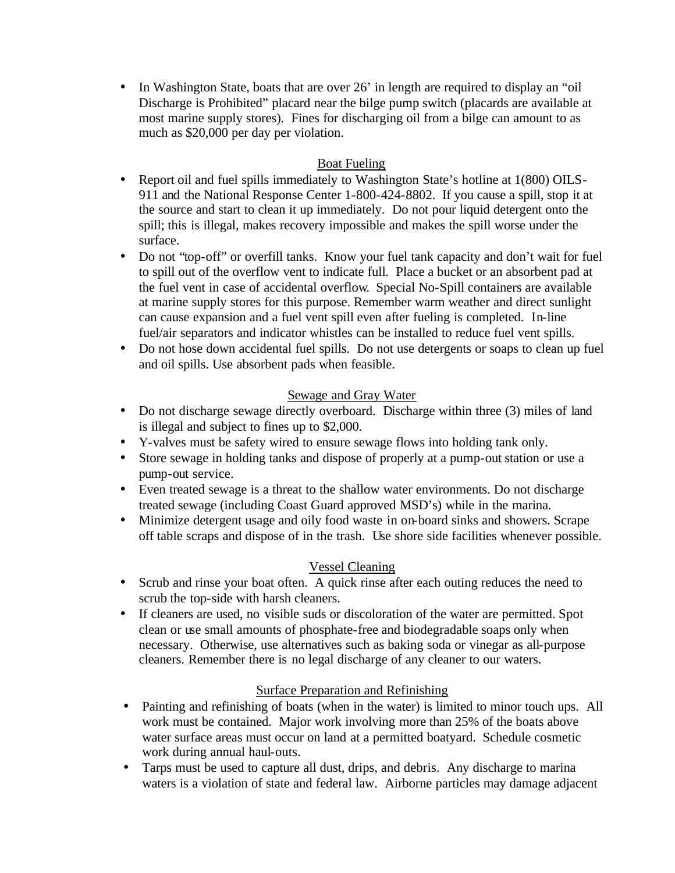• In Washington State, boats that are over 26' in length are required to display an "oil" Discharge is Prohibited" placard near the bilge pump switch (placards are available at most marine supply stores). Fines for discharging oil from a bilge can amount to as much as \$20,000 per day per violation.

## Boat Fueling

- Report oil and fuel spills immediately to Washington State's hotline at 1(800) OILS-911 and the National Response Center 1-800-424-8802. If you cause a spill, stop it at the source and start to clean it up immediately. Do not pour liquid detergent onto the spill; this is illegal, makes recovery impossible and makes the spill worse under the surface.
- Do not "top-off" or overfill tanks. Know your fuel tank capacity and don't wait for fuel to spill out of the overflow vent to indicate full. Place a bucket or an absorbent pad at the fuel vent in case of accidental overflow. Special No-Spill containers are available at marine supply stores for this purpose. Remember warm weather and direct sunlight can cause expansion and a fuel vent spill even after fueling is completed. In-line fuel/air separators and indicator whistles can be installed to reduce fuel vent spills.
- Do not hose down accidental fuel spills. Do not use detergents or soaps to clean up fuel and oil spills. Use absorbent pads when feasible.

## Sewage and Gray Water

- Do not discharge sewage directly overboard. Discharge within three (3) miles of land is illegal and subject to fines up to \$2,000.
- Y-valves must be safety wired to ensure sewage flows into holding tank only.
- Store sewage in holding tanks and dispose of properly at a pump-out station or use a pump-out service.
- Even treated sewage is a threat to the shallow water environments. Do not discharge treated sewage (including Coast Guard approved MSD's) while in the marina.
- Minimize detergent usage and oily food waste in on-board sinks and showers. Scrape off table scraps and dispose of in the trash. Use shore side facilities whenever possible.

## Vessel Cleaning

- Scrub and rinse your boat often. A quick rinse after each outing reduces the need to scrub the top-side with harsh cleaners.
- If cleaners are used, no visible suds or discoloration of the water are permitted. Spot clean or use small amounts of phosphate-free and biodegradable soaps only when necessary. Otherwise, use alternatives such as baking soda or vinegar as all-purpose cleaners. Remember there is no legal discharge of any cleaner to our waters.

## Surface Preparation and Refinishing

- Painting and refinishing of boats (when in the water) is limited to minor touch ups. All work must be contained. Major work involving more than 25% of the boats above water surface areas must occur on land at a permitted boatyard. Schedule cosmetic work during annual haul-outs.
- Tarps must be used to capture all dust, drips, and debris. Any discharge to marina waters is a violation of state and federal law. Airborne particles may damage adjacent